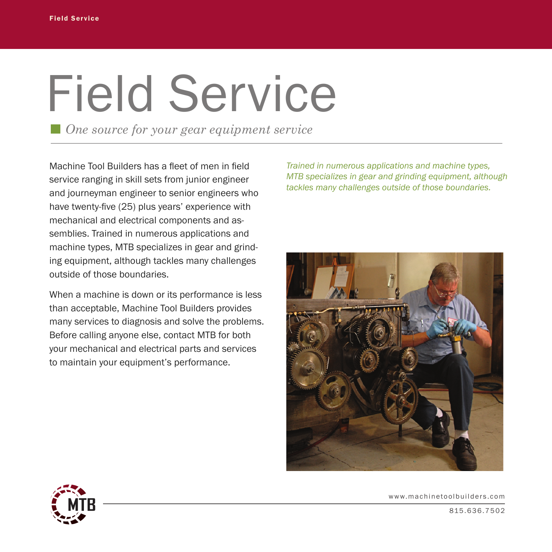## Field Service

*One source for your gear equipment service*

Machine Tool Builders has a fleet of men in field service ranging in skill sets from junior engineer and journeyman engineer to senior engineers who have twenty-five (25) plus years' experience with mechanical and electrical components and assemblies. Trained in numerous applications and machine types, MTB specializes in gear and grinding equipment, although tackles many challenges outside of those boundaries.

When a machine is down or its performance is less than acceptable, Machine Tool Builders provides many services to diagnosis and solve the problems. Before calling anyone else, contact MTB for both your mechanical and electrical parts and services to maintain your equipment's performance.

*Trained in numerous applications and machine types, MTB specializes in gear and grinding equipment, although tackles many challenges outside of those boundaries.* 





www.machinetoolbuilders.com